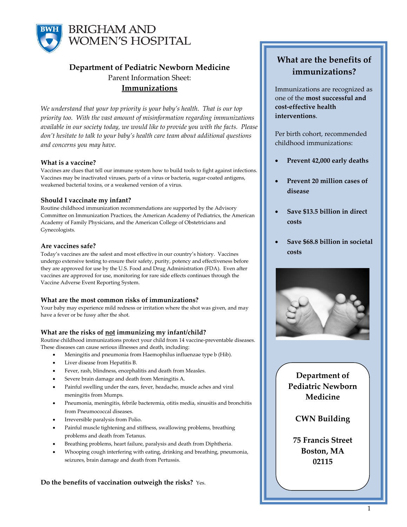

# **Department of Pediatric Newborn Medicine** Parent Information Sheet: **Immunizations**

*We understand that your top priority is your baby's health. That is our top priority too. With the vast amount of misinformation regarding immunizations available in our society today, we would like to provide you with the facts. Please don't hesitate to talk to your baby's health care team about additional questions and concerns you may have.* 

# **What is a vaccine?**

Vaccines are clues that tell our immune system how to build tools to fight against infections. Vaccines may be inactivated viruses, parts of a virus or bacteria, sugar-coated antigens, weakened bacterial toxins, or a weakened version of a virus.

# **Should I vaccinate my infant?**

Routine childhood immunization recommendations are supported by the Advisory Committee on Immunization Practices, the American Academy of Pediatrics, the American Academy of Family Physicians, and the American College of Obstetricians and Gynecologists.

# **Are vaccines safe?**

Today's vaccines are the safest and most effective in our country's history. Vaccines undergo extensive testing to ensure their safety, purity, potency and effectiveness before they are approved for use by the U.S. Food and Drug Administration (FDA). Even after vaccines are approved for use, monitoring for rare side effects continues through the Vaccine Adverse Event Reporting System.

# **What are the most common risks of immunizations?**

Your baby may experience mild redness or irritation where the shot was given, and may have a fever or be fussy after the shot.

# **What are the risks of not immunizing my infant/child?**

Routine childhood immunizations protect your child from 14 vaccine-preventable diseases. These diseases can cause serious illnesses and death, including:

- Meningitis and pneumonia from Haemophilus influenzae type b (Hib).
- Liver disease from Hepatitis B.
- Fever, rash, blindness, encephalitis and death from Measles.
- Severe brain damage and death from Meningitis A.
- Painful swelling under the ears, fever, headache, muscle aches and viral meningitis from Mumps.
- Pneumonia, meningitis, febrile bacteremia, otitis media, sinusitis and bronchitis from Pneumococcal diseases.
- Irreversible paralysis from Polio.
- Painful muscle tightening and stiffness, swallowing problems, breathing problems and death from Tetanus.
- Breathing problems, heart failure, paralysis and death from Diphtheria.
- Whooping cough interfering with eating, drinking and breathing, pneumonia, seizures, brain damage and death from Pertussis.

**Do the benefits of vaccination outweigh the risks?** Yes.

# **What are the benefits of immunizations?**

Immunizations are recognized as one of the **most successful and cost-effective health interventions**.

Per birth cohort, recommended childhood immunizations:

- **Prevent 42,000 early deaths**
- **Prevent 20 million cases of disease**
- **Save \$13.5 billion in direct costs**
- **Save \$68.8 billion in societal costs**



**Department of Pediatric Newborn Medicine**

# **CWN Building**

**75 Francis Street Boston, MA 02115**